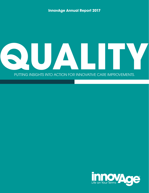

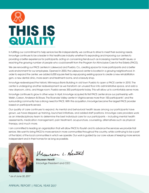

In fulfilling our commitment to help seniors live life independently, we continue to strive to meet their evolving needs. InnovAge continues to be a leader in this healthcare industry whether it's expanding and improving our centers to providing a better experience for participants, acting on concerning trends such as increasing mental health issues, or reaching the growing number of people who could benefit from the Program for All-inclusive Care for the Elderly (PACE).

We are renovating our PACE centers in Lakewood and Pueblo, Co., creating space for more participants and a better work environment for our employees. Opened in 2003, the Lakewood center is located in a growing neighborhood. In order to expand the center, we added 6,000 square feet by repurposing existing space to create a new rehabilitation gym, a new dental clinic, more exam and treatment rooms, and a beauty shop.

InnovAge redeveloped the historic Minnequa Bank Building in old town Pueblo to open a PACE center in 2010. The center is undergoing another redevelopment as we transform an unused floor into administrative space, and add a new dayroom, clinic, and triage room. Pueblo serves 350 participants today. This will allow us to comfortably serve more.

InnovAge continues to grow in other ways. In April, InnovAge acquired its first PACE center since our partnership with Welsh, Carson, Anderson & Stowe. The Roanoke Valley center in Virginia serves more than 100 participants\*, and the surrounding community has a strong need for PACE. With this acquisition, InnovAge became the largest PACE provider based on participants served.

Our quality of care continues to expand. As mental and behavioral health issues among our participants have grown, we have stepped up training, launched initiatives, and added staff positions. InnovAge care providers work as an interdisciplinary team to determine the best individual care for our participants – including mental health assessments, medication management, pain treatment, acupuncture, counseling, alternatives such as physical therapy, and much more.

I am committed to leading an organization that will allow PACE to flourish and to advance the services we provide frail seniors. We want to bring PACE to more seniors in more communities throughout the country, while continuing to be a part of the fabric of the local communities in which we operate. Our work is guided by our core values of keeping more seniors independent and in their homes for as long as possible.



\* as of June 30, 2017

Munsen 1. Actual

Maureen Hewitt InnovAge President and CEO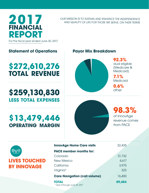#### OUR MISSION IS TO SUSTAIN AND ENHANCE THE INDEPENDENCE AND QUALITY OF LIFE FOR THOSE WE SERVE, ON THEIR TERMS

For the fiscal year ended June 30, 2017.

**2017**

**FINANCIAL** 

**REPORT**

**Statement of Operations**

# **\$272,610,276 TOTAL REVENUE**

### **\$259,130,830 LESS TOTAL EXPENSES**

## **\$13,479,446 OPERATING MARGIN**





**92.3%**  dual eligible (Medicare & Medicaid)

**7.1%** Medicaid

**0.6%** other



**98.3%** of InnovAge revenue comes from PACE



| <b>InnovAge Home Care visits</b>                | 32,435 |
|-------------------------------------------------|--------|
| <b>PACE member months for:</b>                  |        |
| Colorado                                        | 31,732 |
| <b>New Mexico</b>                               | 4,617  |
| California                                      | 3,975  |
| Virginia*                                       | 325    |
| <b>Care Navigation (call volume)</b>            | 16,400 |
| <b>TOTAL</b><br>* April 4 through June 30, 2017 | 89,484 |